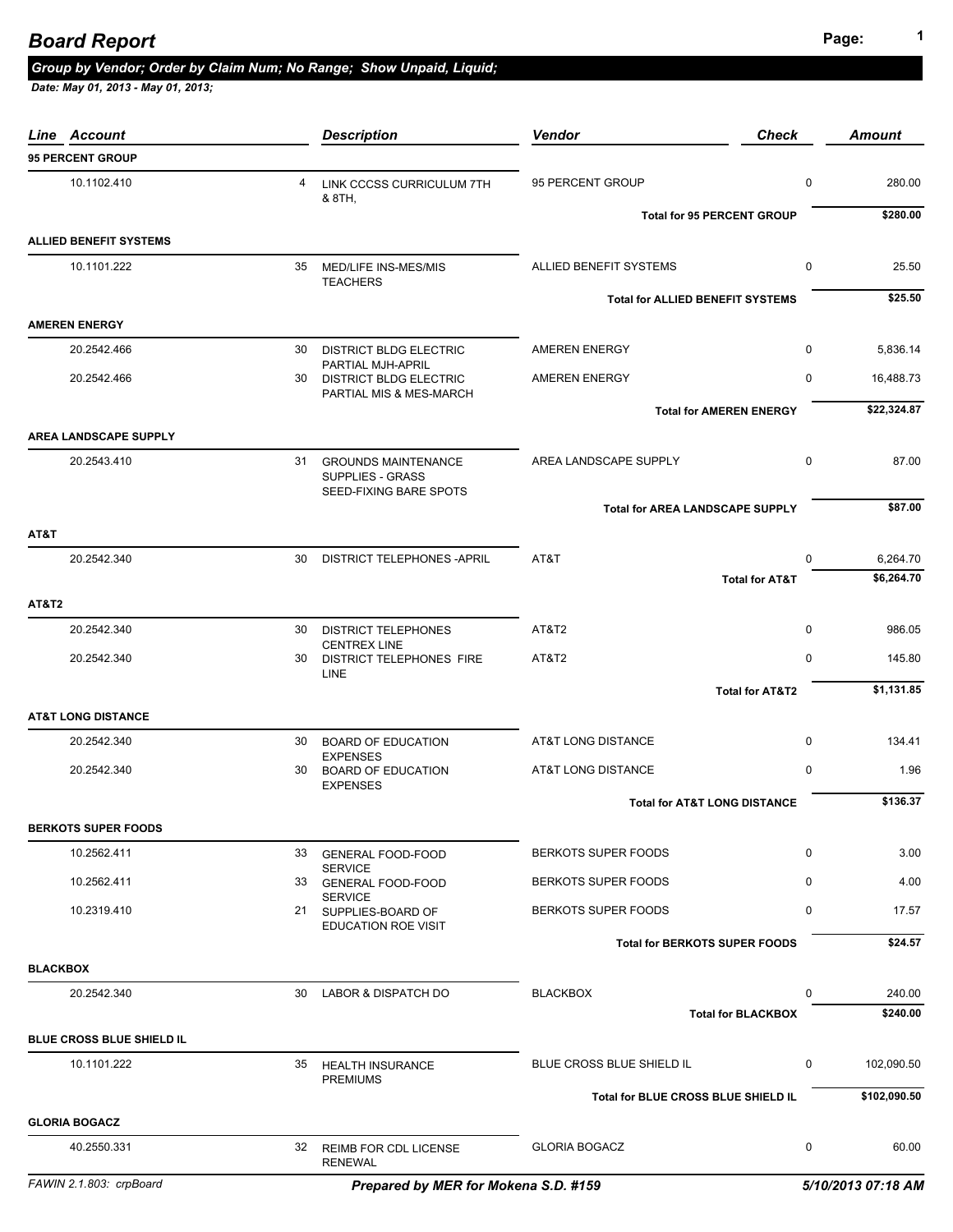## **Page: <sup>1</sup>** *Board Report*

## *Group by Vendor; Order by Claim Num; No Range; Show Unpaid, Liquid;*

| Line Account                     |    | <b>Description</b>                                                   | <b>Vendor</b>                           | <b>Check</b>                             | <b>Amount</b>          |
|----------------------------------|----|----------------------------------------------------------------------|-----------------------------------------|------------------------------------------|------------------------|
| <b>95 PERCENT GROUP</b>          |    |                                                                      |                                         |                                          |                        |
| 10.1102.410                      | 4  | LINK CCCSS CURRICULUM 7TH<br>& 8TH,                                  | 95 PERCENT GROUP                        | $\mathbf 0$                              | 280.00                 |
| <b>ALLIED BENEFIT SYSTEMS</b>    |    |                                                                      | <b>Total for 95 PERCENT GROUP</b>       |                                          | \$280.00               |
|                                  |    |                                                                      |                                         |                                          |                        |
| 10.1101.222                      |    | 35 MED/LIFE INS-MES/MIS<br><b>TEACHERS</b>                           | ALLIED BENEFIT SYSTEMS                  | $\mathbf 0$                              | 25.50                  |
| <b>AMEREN ENERGY</b>             |    |                                                                      | <b>Total for ALLIED BENEFIT SYSTEMS</b> |                                          | \$25.50                |
| 20.2542.466                      | 30 | <b>DISTRICT BLDG ELECTRIC</b>                                        | <b>AMEREN ENERGY</b>                    | $\mathbf 0$                              | 5,836.14               |
| 20.2542.466                      |    | PARTIAL MJH-APRIL<br>30 DISTRICT BLDG ELECTRIC                       | <b>AMEREN ENERGY</b>                    | $\mathbf 0$                              | 16,488.73              |
|                                  |    | PARTIAL MIS & MES-MARCH                                              | <b>Total for AMEREN ENERGY</b>          |                                          | \$22,324.87            |
| <b>AREA LANDSCAPE SUPPLY</b>     |    |                                                                      |                                         |                                          |                        |
| 20.2543.410                      |    | 31 GROUNDS MAINTENANCE<br>SUPPLIES - GRASS<br>SEED-FIXING BARE SPOTS | AREA LANDSCAPE SUPPLY                   | 0                                        | 87.00                  |
|                                  |    |                                                                      | <b>Total for AREA LANDSCAPE SUPPLY</b>  |                                          | \$87.00                |
| AT&T                             |    |                                                                      |                                         |                                          |                        |
| 20.2542.340                      | 30 | DISTRICT TELEPHONES - APRIL                                          | AT&T                                    | $\Omega$<br><b>Total for AT&amp;T</b>    | 6,264.70<br>\$6,264.70 |
| <b>AT&amp;T2</b>                 |    |                                                                      |                                         |                                          |                        |
| 20.2542.340                      | 30 | <b>DISTRICT TELEPHONES</b>                                           | AT&T2                                   | $\mathbf 0$                              | 986.05                 |
| 20.2542.340                      | 30 | <b>CENTREX LINE</b><br>DISTRICT TELEPHONES FIRE                      | AT&T2                                   | $\mathbf 0$                              | 145.80                 |
|                                  |    | LINE                                                                 |                                         | <b>Total for AT&amp;T2</b>               | \$1,131.85             |
| <b>AT&amp;T LONG DISTANCE</b>    |    |                                                                      |                                         |                                          |                        |
| 20.2542.340                      | 30 | <b>BOARD OF EDUCATION</b>                                            | <b>AT&amp;T LONG DISTANCE</b>           | $\mathbf 0$                              | 134.41                 |
| 20.2542.340                      | 30 | <b>EXPENSES</b><br><b>BOARD OF EDUCATION</b><br><b>EXPENSES</b>      | <b>AT&amp;T LONG DISTANCE</b>           | $\mathbf 0$                              | 1.96                   |
|                                  |    |                                                                      | <b>Total for AT&amp;T LONG DISTANCE</b> |                                          | \$136.37               |
| <b>BERKOTS SUPER FOODS</b>       |    |                                                                      |                                         |                                          |                        |
| 10.2562.411                      | 33 | <b>GENERAL FOOD-FOOD</b><br><b>SERVICE</b>                           | <b>BERKOTS SUPER FOODS</b>              | 0                                        | 3.00                   |
| 10.2562.411                      | 33 | <b>GENERAL FOOD-FOOD</b><br><b>SERVICE</b>                           | BERKOTS SUPER FOODS                     | $\mathbf 0$                              | 4.00                   |
| 10.2319.410                      |    | 21 SUPPLIES-BOARD OF<br><b>EDUCATION ROE VISIT</b>                   | BERKOTS SUPER FOODS                     | $\mathbf 0$                              | 17.57                  |
|                                  |    |                                                                      | <b>Total for BERKOTS SUPER FOODS</b>    |                                          | \$24.57                |
| <b>BLACKBOX</b>                  |    |                                                                      |                                         |                                          |                        |
| 20.2542.340                      | 30 | <b>LABOR &amp; DISPATCH DO</b>                                       | <b>BLACKBOX</b>                         | $\mathbf 0$<br><b>Total for BLACKBOX</b> | 240.00<br>\$240.00     |
| <b>BLUE CROSS BLUE SHIELD IL</b> |    |                                                                      |                                         |                                          |                        |
| 10.1101.222                      | 35 | <b>HEALTH INSURANCE</b>                                              | BLUE CROSS BLUE SHIELD IL               | $\mathbf 0$                              | 102,090.50             |
|                                  |    | <b>PREMIUMS</b>                                                      | Total for BLUE CROSS BLUE SHIELD IL     |                                          | \$102,090.50           |
| <b>GLORIA BOGACZ</b>             |    |                                                                      |                                         |                                          |                        |
| 40.2550.331                      | 32 | <b>REIMB FOR CDL LICENSE</b><br><b>RENEWAL</b>                       | <b>GLORIA BOGACZ</b>                    | 0                                        | 60.00                  |
| FAWIN 2.1.803: crpBoard          |    | Prepared by MER for Mokena S.D. #159                                 |                                         |                                          | 5/10/2013 07:18 AM     |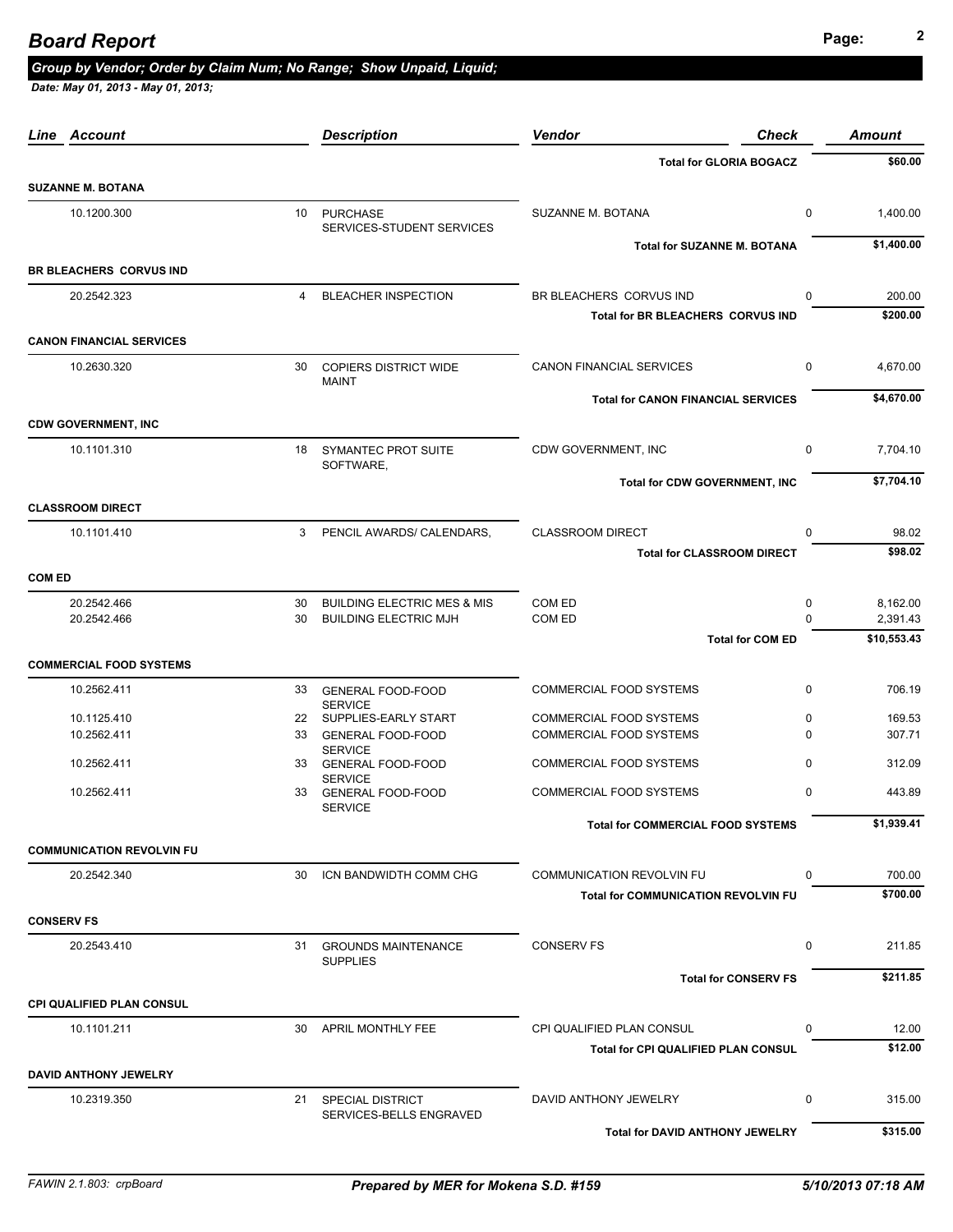# **Page: <sup>2</sup>** *Board Report*

### *Group by Vendor; Order by Claim Num; No Range; Show Unpaid, Liquid;*

| Line Account                     |    | <b>Description</b>                             | <b>Vendor</b><br><b>Check</b>              |             | <b>Amount</b> |
|----------------------------------|----|------------------------------------------------|--------------------------------------------|-------------|---------------|
|                                  |    |                                                | <b>Total for GLORIA BOGACZ</b>             |             | \$60.00       |
| <b>SUZANNE M. BOTANA</b>         |    |                                                |                                            |             |               |
| 10.1200.300                      |    | 10 PURCHASE<br>SERVICES-STUDENT SERVICES       | SUZANNE M. BOTANA                          | 0           | 1,400.00      |
|                                  |    |                                                | <b>Total for SUZANNE M. BOTANA</b>         |             | \$1,400.00    |
| BR BLEACHERS CORVUS IND          |    |                                                |                                            |             |               |
| 20.2542.323                      | 4  | <b>BLEACHER INSPECTION</b>                     | BR BLEACHERS CORVUS IND                    | $\Omega$    | 200.00        |
|                                  |    |                                                | Total for BR BLEACHERS CORVUS IND          |             | \$200.00      |
| <b>CANON FINANCIAL SERVICES</b>  |    |                                                |                                            |             |               |
| 10.2630.320                      | 30 | <b>COPIERS DISTRICT WIDE</b>                   | CANON FINANCIAL SERVICES                   | $\mathbf 0$ | 4,670.00      |
|                                  |    | <b>MAINT</b>                                   | <b>Total for CANON FINANCIAL SERVICES</b>  |             | \$4,670.00    |
| <b>CDW GOVERNMENT, INC</b>       |    |                                                |                                            |             |               |
| 10.1101.310                      | 18 | SYMANTEC PROT SUITE                            | CDW GOVERNMENT, INC                        | $\mathbf 0$ | 7,704.10      |
|                                  |    | SOFTWARE,                                      |                                            |             |               |
|                                  |    |                                                | <b>Total for CDW GOVERNMENT, INC</b>       |             | \$7,704.10    |
| <b>CLASSROOM DIRECT</b>          |    |                                                |                                            |             |               |
| 10.1101.410                      | 3  | PENCIL AWARDS/ CALENDARS,                      | <b>CLASSROOM DIRECT</b>                    | 0           | 98.02         |
|                                  |    |                                                | <b>Total for CLASSROOM DIRECT</b>          |             | \$98.02       |
| <b>COM ED</b>                    |    |                                                |                                            |             |               |
| 20.2542.466                      | 30 | <b>BUILDING ELECTRIC MES &amp; MIS</b>         | COM ED                                     | 0           | 8,162.00      |
| 20.2542.466                      | 30 | <b>BUILDING ELECTRIC MJH</b>                   | COM ED                                     | $\Omega$    | 2,391.43      |
|                                  |    |                                                | <b>Total for COM ED</b>                    |             | \$10,553.43   |
| <b>COMMERCIAL FOOD SYSTEMS</b>   |    |                                                |                                            |             |               |
| 10.2562.411                      | 33 | <b>GENERAL FOOD-FOOD</b>                       | <b>COMMERCIAL FOOD SYSTEMS</b>             | $\mathbf 0$ | 706.19        |
| 10.1125.410                      |    | <b>SERVICE</b><br>22 SUPPLIES-EARLY START      | COMMERCIAL FOOD SYSTEMS                    | 0           | 169.53        |
| 10.2562.411                      | 33 | <b>GENERAL FOOD-FOOD</b><br><b>SERVICE</b>     | <b>COMMERCIAL FOOD SYSTEMS</b>             | $\Omega$    | 307.71        |
| 10.2562.411                      | 33 | <b>GENERAL FOOD-FOOD</b>                       | COMMERCIAL FOOD SYSTEMS                    | 0           | 312.09        |
| 10.2562.411                      | 33 | <b>SERVICE</b><br><b>GENERAL FOOD-FOOD</b>     | <b>COMMERCIAL FOOD SYSTEMS</b>             | $\mathbf 0$ | 443.89        |
|                                  |    | <b>SERVICE</b>                                 |                                            |             |               |
|                                  |    |                                                | <b>Total for COMMERCIAL FOOD SYSTEMS</b>   |             | \$1,939.41    |
| <b>COMMUNICATION REVOLVIN FU</b> |    |                                                |                                            |             |               |
| 20.2542.340                      | 30 | ICN BANDWIDTH COMM CHG                         | <b>COMMUNICATION REVOLVIN FU</b>           | $\mathbf 0$ | 700.00        |
|                                  |    |                                                | <b>Total for COMMUNICATION REVOLVIN FU</b> |             | \$700.00      |
| <b>CONSERV FS</b>                |    |                                                |                                            |             |               |
| 20.2543.410                      |    | 31 GROUNDS MAINTENANCE<br><b>SUPPLIES</b>      | <b>CONSERV FS</b>                          | 0           | 211.85        |
|                                  |    |                                                | <b>Total for CONSERV FS</b>                |             | \$211.85      |
| <b>CPI QUALIFIED PLAN CONSUL</b> |    |                                                |                                            |             |               |
| 10.1101.211                      |    | 30 APRIL MONTHLY FEE                           | CPI QUALIFIED PLAN CONSUL                  | 0           | 12.00         |
|                                  |    |                                                | <b>Total for CPI QUALIFIED PLAN CONSUL</b> |             | \$12.00       |
| <b>DAVID ANTHONY JEWELRY</b>     |    |                                                |                                            |             |               |
| 10.2319.350                      |    | 21 SPECIAL DISTRICT<br>SERVICES-BELLS ENGRAVED | DAVID ANTHONY JEWELRY                      | 0           | 315.00        |
|                                  |    |                                                | <b>Total for DAVID ANTHONY JEWELRY</b>     |             | \$315.00      |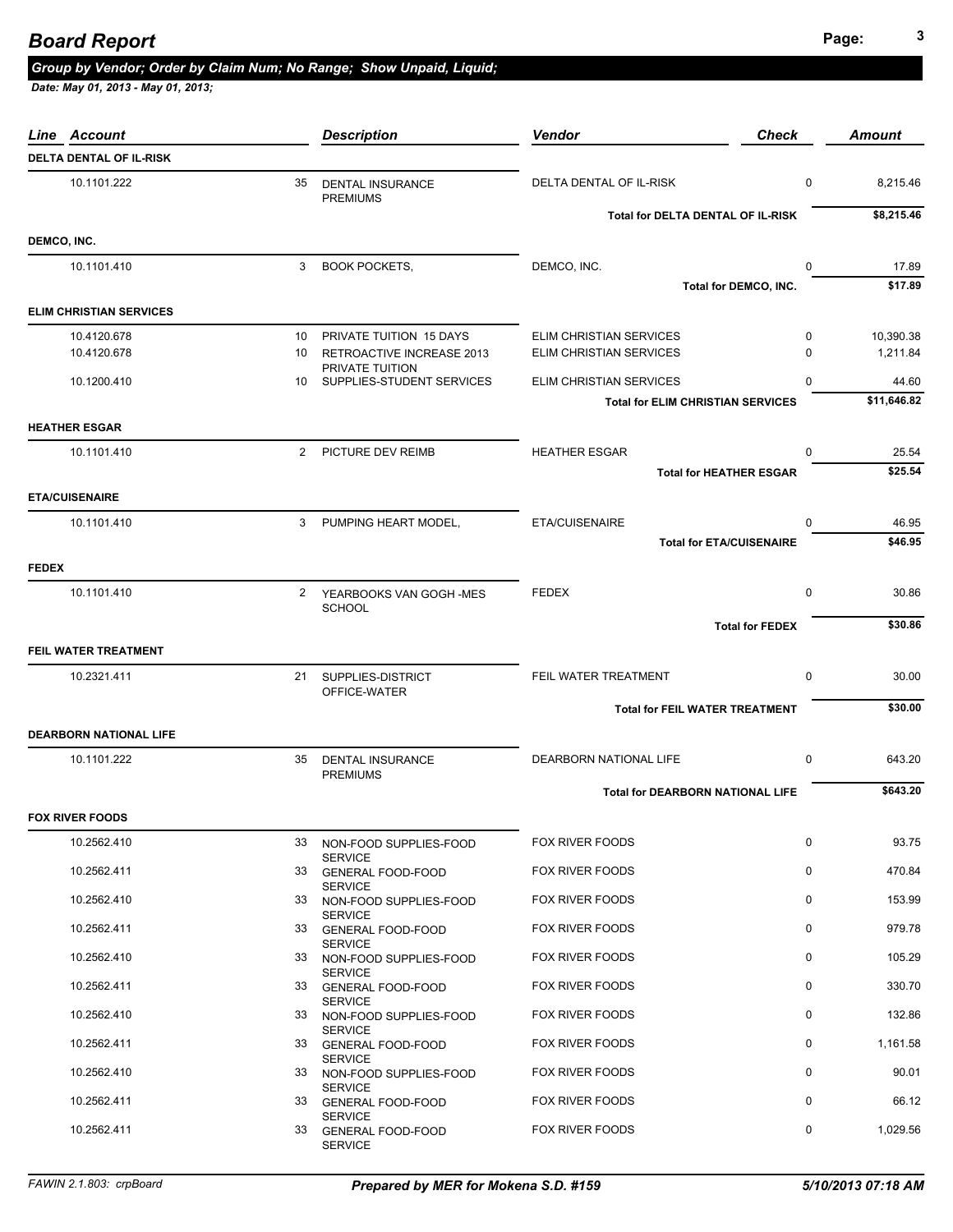## **Page: <sup>3</sup>** *Board Report*

### *Group by Vendor; Order by Claim Num; No Range; Show Unpaid, Liquid;*

| Line Account                   |                | <b>Description</b>                           | <b>Vendor</b>                            | <b>Check</b>           | <b>Amount</b> |
|--------------------------------|----------------|----------------------------------------------|------------------------------------------|------------------------|---------------|
| <b>DELTA DENTAL OF IL-RISK</b> |                |                                              |                                          |                        |               |
| 10.1101.222                    | 35             | <b>DENTAL INSURANCE</b><br><b>PREMIUMS</b>   | DELTA DENTAL OF IL-RISK                  | 0                      | 8,215.46      |
|                                |                |                                              | Total for DELTA DENTAL OF IL-RISK        |                        | \$8,215.46    |
| DEMCO, INC.                    |                |                                              |                                          |                        |               |
| 10.1101.410                    | 3              | <b>BOOK POCKETS,</b>                         | DEMCO, INC.                              | 0                      | 17.89         |
|                                |                |                                              |                                          | Total for DEMCO, INC.  | \$17.89       |
| <b>ELIM CHRISTIAN SERVICES</b> |                |                                              |                                          |                        |               |
| 10.4120.678                    | 10             | PRIVATE TUITION 15 DAYS                      | ELIM CHRISTIAN SERVICES                  | $\mathbf 0$            | 10,390.38     |
| 10.4120.678                    | 10             | RETROACTIVE INCREASE 2013                    | ELIM CHRISTIAN SERVICES                  | $\Omega$               | 1,211.84      |
| 10.1200.410                    | 10             | PRIVATE TUITION<br>SUPPLIES-STUDENT SERVICES | ELIM CHRISTIAN SERVICES                  | $\mathbf{0}$           | 44.60         |
|                                |                |                                              | <b>Total for ELIM CHRISTIAN SERVICES</b> |                        | \$11,646.82   |
| <b>HEATHER ESGAR</b>           |                |                                              |                                          |                        |               |
| 10.1101.410                    | $\overline{2}$ | PICTURE DEV REIMB                            | <b>HEATHER ESGAR</b>                     | $\mathbf 0$            | 25.54         |
|                                |                |                                              | <b>Total for HEATHER ESGAR</b>           |                        | \$25.54       |
| <b>ETA/CUISENAIRE</b>          |                |                                              |                                          |                        |               |
| 10.1101.410                    | 3              | PUMPING HEART MODEL,                         | <b>ETA/CUISENAIRE</b>                    | 0                      | 46.95         |
|                                |                |                                              | <b>Total for ETA/CUISENAIRE</b>          |                        | \$46.95       |
| <b>FEDEX</b>                   |                |                                              |                                          |                        |               |
| 10.1101.410                    | 2              | YEARBOOKS VAN GOGH-MES                       | <b>FEDEX</b>                             | 0                      | 30.86         |
|                                |                | <b>SCHOOL</b>                                |                                          |                        |               |
|                                |                |                                              |                                          | <b>Total for FEDEX</b> | \$30.86       |
| FEIL WATER TREATMENT           |                |                                              |                                          |                        |               |
| 10.2321.411                    |                | 21 SUPPLIES-DISTRICT                         | FEIL WATER TREATMENT                     | 0                      | 30.00         |
|                                |                | OFFICE-WATER                                 |                                          |                        | \$30.00       |
|                                |                |                                              | <b>Total for FEIL WATER TREATMENT</b>    |                        |               |
| <b>DEARBORN NATIONAL LIFE</b>  |                |                                              |                                          |                        |               |
| 10.1101.222                    | 35             | <b>DENTAL INSURANCE</b><br><b>PREMIUMS</b>   | DEARBORN NATIONAL LIFE                   | 0                      | 643.20        |
|                                |                |                                              | <b>Total for DEARBORN NATIONAL LIFE</b>  |                        | \$643.20      |
| <b>FOX RIVER FOODS</b>         |                |                                              |                                          |                        |               |
| 10.2562.410                    | 33             | NON-FOOD SUPPLIES-FOOD                       | FOX RIVER FOODS                          | 0                      | 93.75         |
|                                |                | <b>SERVICE</b>                               |                                          |                        |               |
| 10.2562.411                    |                | 33 GENERAL FOOD-FOOD<br><b>SERVICE</b>       | FOX RIVER FOODS                          | 0                      | 470.84        |
| 10.2562.410                    | 33             | NON-FOOD SUPPLIES-FOOD                       | FOX RIVER FOODS                          | $\mathbf 0$            | 153.99        |
| 10.2562.411                    | 33             | <b>SERVICE</b><br><b>GENERAL FOOD-FOOD</b>   | FOX RIVER FOODS                          | $\mathbf 0$            | 979.78        |
| 10.2562.410                    | 33             | <b>SERVICE</b><br>NON-FOOD SUPPLIES-FOOD     | FOX RIVER FOODS                          | 0                      | 105.29        |
|                                |                | <b>SERVICE</b>                               |                                          |                        |               |
| 10.2562.411                    | 33             | <b>GENERAL FOOD-FOOD</b><br><b>SERVICE</b>   | FOX RIVER FOODS                          | $\mathbf 0$            | 330.70        |
| 10.2562.410                    | 33             | NON-FOOD SUPPLIES-FOOD                       | FOX RIVER FOODS                          | 0                      | 132.86        |
| 10.2562.411                    |                | <b>SERVICE</b><br>33 GENERAL FOOD-FOOD       | FOX RIVER FOODS                          | 0                      | 1,161.58      |
|                                |                | <b>SERVICE</b>                               |                                          | $\mathbf 0$            |               |
| 10.2562.410                    | 33             | NON-FOOD SUPPLIES-FOOD<br><b>SERVICE</b>     | FOX RIVER FOODS                          |                        | 90.01         |
| 10.2562.411                    | 33             | <b>GENERAL FOOD-FOOD</b><br><b>SERVICE</b>   | FOX RIVER FOODS                          | 0                      | 66.12         |
| 10.2562.411                    | 33             | <b>GENERAL FOOD-FOOD</b><br><b>SERVICE</b>   | FOX RIVER FOODS                          | 0                      | 1,029.56      |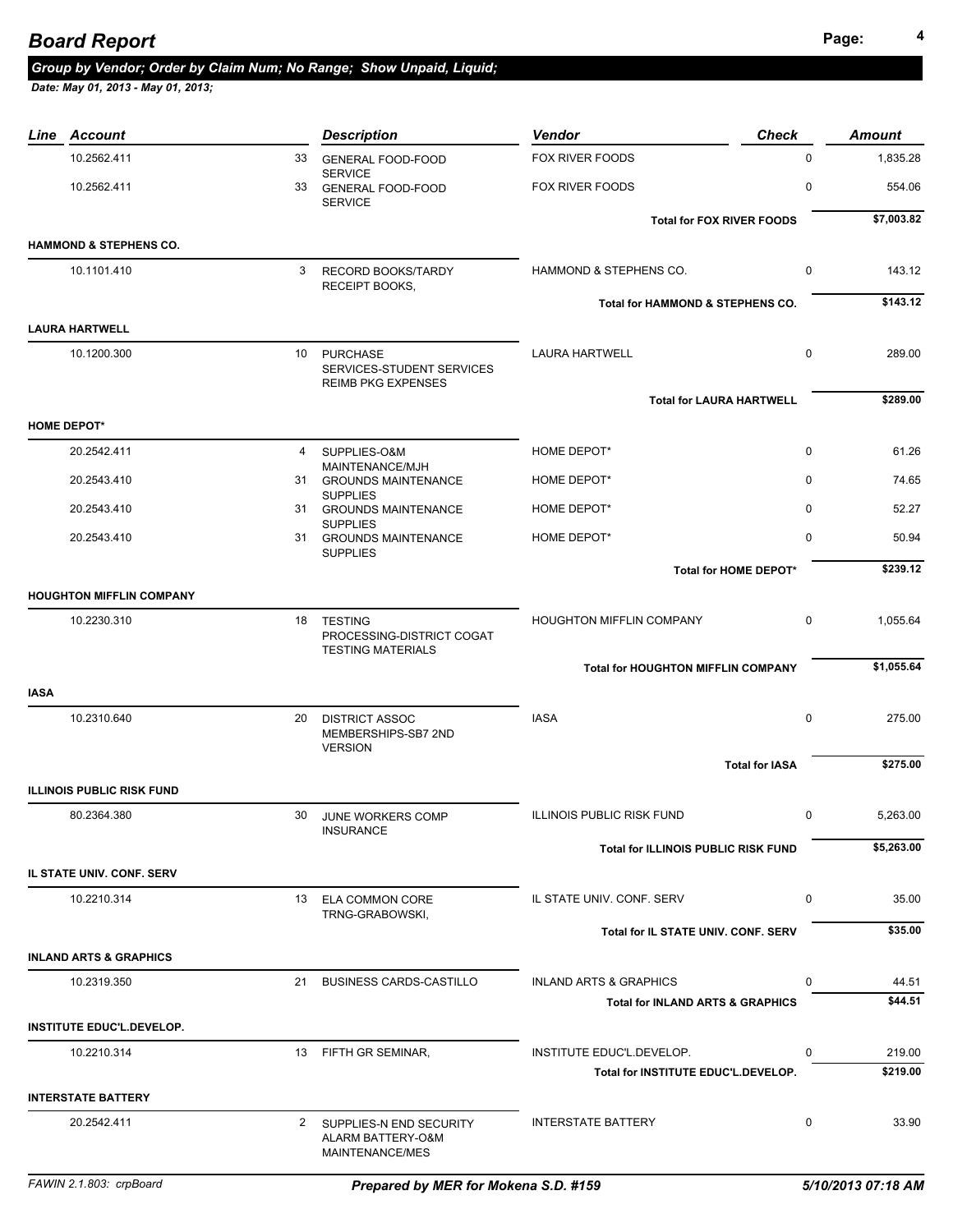### **Page: <sup>4</sup>** *Board Report*

### *Group by Vendor; Order by Claim Num; No Range; Show Unpaid, Liquid;*

| Line Account                      |    | <b>Description</b>                                                    | <b>Vendor</b>                               | <b>Check</b>          | <b>Amount</b> |
|-----------------------------------|----|-----------------------------------------------------------------------|---------------------------------------------|-----------------------|---------------|
| 10.2562.411                       | 33 | <b>GENERAL FOOD-FOOD</b>                                              | FOX RIVER FOODS                             | $\mathbf 0$           | 1,835.28      |
| 10.2562.411                       | 33 | <b>SERVICE</b><br><b>GENERAL FOOD-FOOD</b><br><b>SERVICE</b>          | FOX RIVER FOODS                             | 0                     | 554.06        |
|                                   |    |                                                                       | <b>Total for FOX RIVER FOODS</b>            |                       | \$7,003.82    |
| <b>HAMMOND &amp; STEPHENS CO.</b> |    |                                                                       |                                             |                       |               |
| 10.1101.410                       | 3  | <b>RECORD BOOKS/TARDY</b><br><b>RECEIPT BOOKS.</b>                    | HAMMOND & STEPHENS CO.                      | $\mathbf 0$           | 143.12        |
| <b>LAURA HARTWELL</b>             |    |                                                                       | Total for HAMMOND & STEPHENS CO.            |                       | \$143.12      |
| 10.1200.300                       |    |                                                                       | <b>LAURA HARTWELL</b>                       | $\mathbf 0$           | 289.00        |
|                                   |    | 10 PURCHASE<br>SERVICES-STUDENT SERVICES<br><b>REIMB PKG EXPENSES</b> |                                             |                       |               |
|                                   |    |                                                                       | <b>Total for LAURA HARTWELL</b>             |                       | \$289.00      |
| <b>HOME DEPOT*</b>                |    |                                                                       |                                             |                       |               |
| 20.2542.411                       | 4  | SUPPLIES-O&M<br>MAINTENANCE/MJH                                       | HOME DEPOT*                                 | $\mathbf 0$           | 61.26         |
| 20.2543.410                       |    | 31 GROUNDS MAINTENANCE                                                | HOME DEPOT*                                 | $\mathbf 0$           | 74.65         |
| 20.2543.410                       |    | <b>SUPPLIES</b><br>31 GROUNDS MAINTENANCE<br><b>SUPPLIES</b>          | HOME DEPOT*                                 | $\mathbf 0$           | 52.27         |
| 20.2543.410                       |    | 31 GROUNDS MAINTENANCE<br><b>SUPPLIES</b>                             | HOME DEPOT*                                 | 0                     | 50.94         |
|                                   |    |                                                                       |                                             | Total for HOME DEPOT* | \$239.12      |
| <b>HOUGHTON MIFFLIN COMPANY</b>   |    |                                                                       |                                             |                       |               |
| 10.2230.310                       |    | 18 TESTING<br>PROCESSING-DISTRICT COGAT<br><b>TESTING MATERIALS</b>   | HOUGHTON MIFFLIN COMPANY                    | $\mathbf 0$           | 1,055.64      |
|                                   |    |                                                                       | <b>Total for HOUGHTON MIFFLIN COMPANY</b>   |                       | \$1,055.64    |
| <b>IASA</b>                       |    |                                                                       |                                             |                       |               |
| 10.2310.640                       | 20 | <b>DISTRICT ASSOC</b><br>MEMBERSHIPS-SB7 2ND<br><b>VERSION</b>        | <b>IASA</b>                                 | $\mathbf 0$           | 275.00        |
|                                   |    |                                                                       |                                             | <b>Total for IASA</b> | \$275.00      |
| <b>ILLINOIS PUBLIC RISK FUND</b>  |    |                                                                       |                                             |                       |               |
| 80.2364.380                       | 30 | JUNE WORKERS COMP<br><b>INSURANCE</b>                                 | <b>ILLINOIS PUBLIC RISK FUND</b>            | 0                     | 5,263.00      |
|                                   |    |                                                                       | <b>Total for ILLINOIS PUBLIC RISK FUND</b>  |                       | \$5,263.00    |
| IL STATE UNIV. CONF. SERV         |    |                                                                       |                                             |                       |               |
| 10.2210.314                       |    | 13 ELA COMMON CORE<br>TRNG-GRABOWSKI,                                 | IL STATE UNIV. CONF. SERV                   | 0                     | 35.00         |
|                                   |    |                                                                       | <b>Total for IL STATE UNIV, CONF, SERV</b>  |                       | \$35.00       |
| <b>INLAND ARTS &amp; GRAPHICS</b> |    |                                                                       |                                             |                       |               |
| 10.2319.350                       |    | 21 BUSINESS CARDS-CASTILLO                                            | <b>INLAND ARTS &amp; GRAPHICS</b>           | 0                     | 44.51         |
|                                   |    |                                                                       | <b>Total for INLAND ARTS &amp; GRAPHICS</b> |                       | \$44.51       |
| <b>INSTITUTE EDUC'L.DEVELOP.</b>  |    |                                                                       |                                             |                       |               |
| 10.2210.314                       |    | 13 FIFTH GR SEMINAR,                                                  | INSTITUTE EDUC'L.DEVELOP.                   | 0                     | 219.00        |
|                                   |    |                                                                       | Total for INSTITUTE EDUC'L.DEVELOP.         |                       | \$219.00      |
| <b>INTERSTATE BATTERY</b>         |    |                                                                       |                                             |                       |               |
| 20.2542.411                       |    | 2 SUPPLIES-N END SECURITY<br>ALARM BATTERY-O&M<br>MAINTENANCE/MES     | <b>INTERSTATE BATTERY</b>                   | 0                     | 33.90         |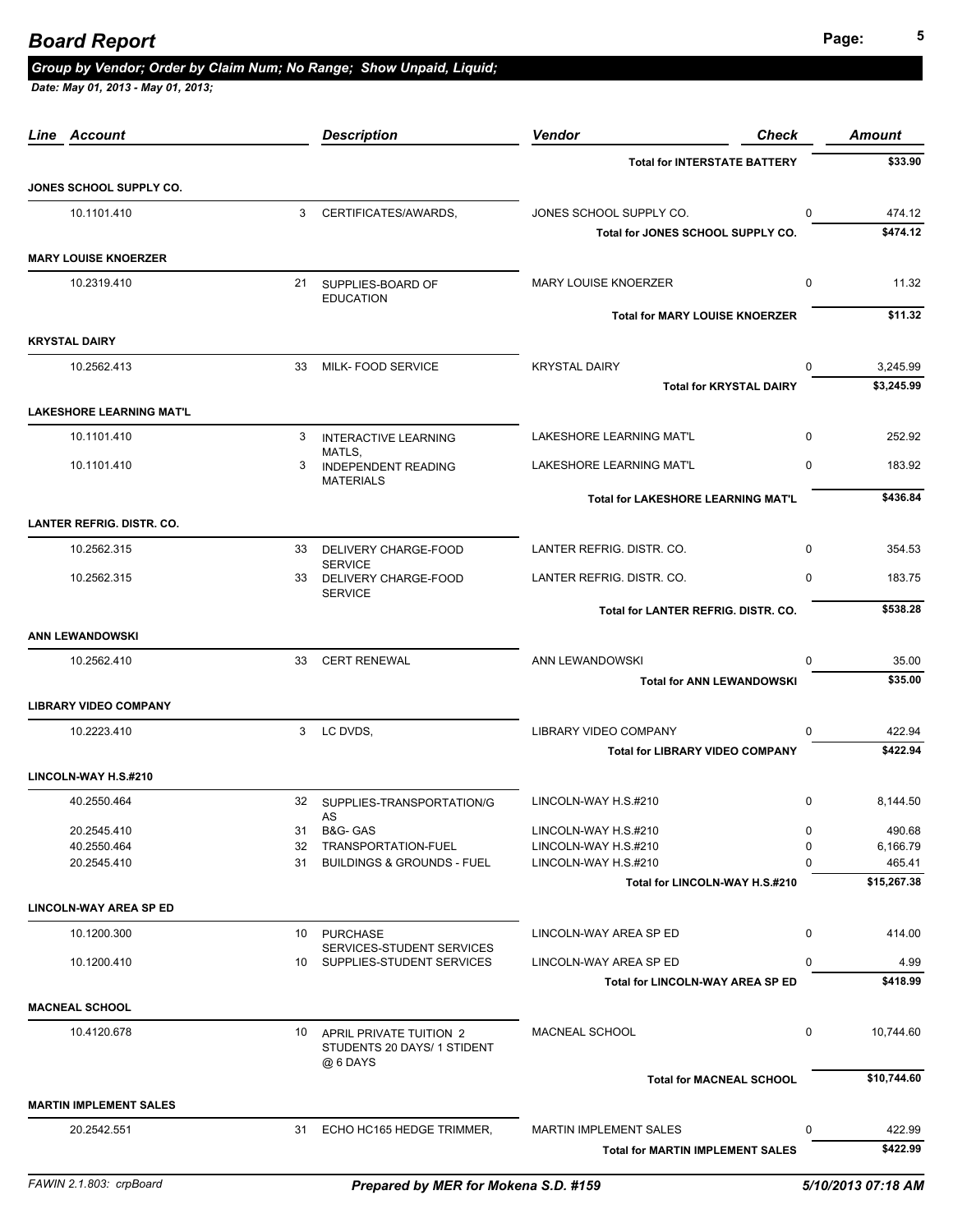## **Page: <sup>5</sup>** *Board Report*

### *Group by Vendor; Order by Claim Num; No Range; Show Unpaid, Liquid;*

| Line Account                     |    | <b>Description</b>                                                    | Vendor<br><b>Check</b>                                      | <b>Amount</b>         |
|----------------------------------|----|-----------------------------------------------------------------------|-------------------------------------------------------------|-----------------------|
|                                  |    |                                                                       | <b>Total for INTERSTATE BATTERY</b>                         | \$33.90               |
| JONES SCHOOL SUPPLY CO.          |    |                                                                       |                                                             |                       |
| 10.1101.410                      | 3  | CERTIFICATES/AWARDS,                                                  | JONES SCHOOL SUPPLY CO.<br>$\Omega$                         | 474.12                |
|                                  |    |                                                                       | Total for JONES SCHOOL SUPPLY CO.                           | \$474.12              |
| <b>MARY LOUISE KNOERZER</b>      |    |                                                                       |                                                             |                       |
| 10.2319.410                      |    | 21 SUPPLIES-BOARD OF<br><b>EDUCATION</b>                              | <b>MARY LOUISE KNOERZER</b><br>0                            | 11.32                 |
|                                  |    |                                                                       | <b>Total for MARY LOUISE KNOERZER</b>                       | \$11.32               |
| <b>KRYSTAL DAIRY</b>             |    |                                                                       |                                                             |                       |
| 10.2562.413                      | 33 | MILK- FOOD SERVICE                                                    | <b>KRYSTAL DAIRY</b><br>$\Omega$                            | 3,245.99              |
|                                  |    |                                                                       | <b>Total for KRYSTAL DAIRY</b>                              | \$3,245.99            |
| <b>LAKESHORE LEARNING MAT'L</b>  |    |                                                                       |                                                             |                       |
| 10.1101.410                      | 3  | <b>INTERACTIVE LEARNING</b><br>MATLS.                                 | <b>LAKESHORE LEARNING MAT'L</b><br>$\Omega$                 | 252.92                |
| 10.1101.410                      | 3  | <b>INDEPENDENT READING</b><br><b>MATERIALS</b>                        | LAKESHORE LEARNING MAT'L<br>$\Omega$                        | 183.92                |
|                                  |    |                                                                       | Total for LAKESHORE LEARNING MAT'L                          | \$436.84              |
| <b>LANTER REFRIG. DISTR. CO.</b> |    |                                                                       |                                                             |                       |
| 10.2562.315                      | 33 | DELIVERY CHARGE-FOOD                                                  | LANTER REFRIG. DISTR. CO.<br>$\Omega$                       | 354.53                |
| 10.2562.315                      | 33 | <b>SERVICE</b><br>DELIVERY CHARGE-FOOD                                | LANTER REFRIG. DISTR. CO.<br>$\Omega$                       | 183.75                |
|                                  |    | <b>SERVICE</b>                                                        | Total for LANTER REFRIG. DISTR. CO.                         | \$538.28              |
| <b>ANN LEWANDOWSKI</b>           |    |                                                                       |                                                             |                       |
| 10.2562.410                      | 33 | <b>CERT RENEWAL</b>                                                   | ANN LEWANDOWSKI<br>$\Omega$                                 | 35.00                 |
|                                  |    |                                                                       | <b>Total for ANN LEWANDOWSKI</b>                            | \$35.00               |
| <b>LIBRARY VIDEO COMPANY</b>     |    |                                                                       |                                                             |                       |
| 10.2223.410                      |    | 3 LC DVDS.                                                            | <b>LIBRARY VIDEO COMPANY</b><br>$\Omega$                    | 422.94                |
|                                  |    |                                                                       | <b>Total for LIBRARY VIDEO COMPANY</b>                      | \$422.94              |
| LINCOLN-WAY H.S.#210             |    |                                                                       |                                                             |                       |
| 40.2550.464                      | 32 | SUPPLIES-TRANSPORTATION/G<br>AS                                       | LINCOLN-WAY H.S.#210<br>$\Omega$                            | 8,144.50              |
| 20.2545.410                      | 31 | B&G- GAS                                                              | LINCOLN-WAY H.S.#210<br>0                                   | 490.68                |
| 40.2550.464                      | 32 | TRANSPORTATION-FUEL                                                   | LINCOLN-WAY H.S.#210<br>0                                   | 6,166.79              |
| 20.2545.410                      | 31 | <b>BUILDINGS &amp; GROUNDS - FUEL</b>                                 | LINCOLN-WAY H.S.#210<br>0<br>Total for LINCOLN-WAY H.S.#210 | 465.41<br>\$15,267.38 |
| <b>LINCOLN-WAY AREA SP ED</b>    |    |                                                                       |                                                             |                       |
| 10.1200.300                      | 10 | <b>PURCHASE</b>                                                       | LINCOLN-WAY AREA SP ED<br>$\mathbf 0$                       | 414.00                |
| 10.1200.410                      |    | SERVICES-STUDENT SERVICES<br>10 SUPPLIES-STUDENT SERVICES             | LINCOLN-WAY AREA SP ED<br>$\Omega$                          | 4.99                  |
|                                  |    |                                                                       | Total for LINCOLN-WAY AREA SP ED                            | \$418.99              |
| <b>MACNEAL SCHOOL</b>            |    |                                                                       |                                                             |                       |
| 10.4120.678                      |    | 10 APRIL PRIVATE TUITION 2<br>STUDENTS 20 DAYS/ 1 STIDENT<br>@ 6 DAYS | MACNEAL SCHOOL<br>0                                         | 10,744.60             |
|                                  |    |                                                                       | <b>Total for MACNEAL SCHOOL</b>                             | \$10,744.60           |
| <b>MARTIN IMPLEMENT SALES</b>    |    |                                                                       |                                                             |                       |
| 20.2542.551                      | 31 | ECHO HC165 HEDGE TRIMMER,                                             | <b>MARTIN IMPLEMENT SALES</b><br>$\Omega$                   | 422.99                |
|                                  |    |                                                                       | <b>Total for MARTIN IMPLEMENT SALES</b>                     | \$422.99              |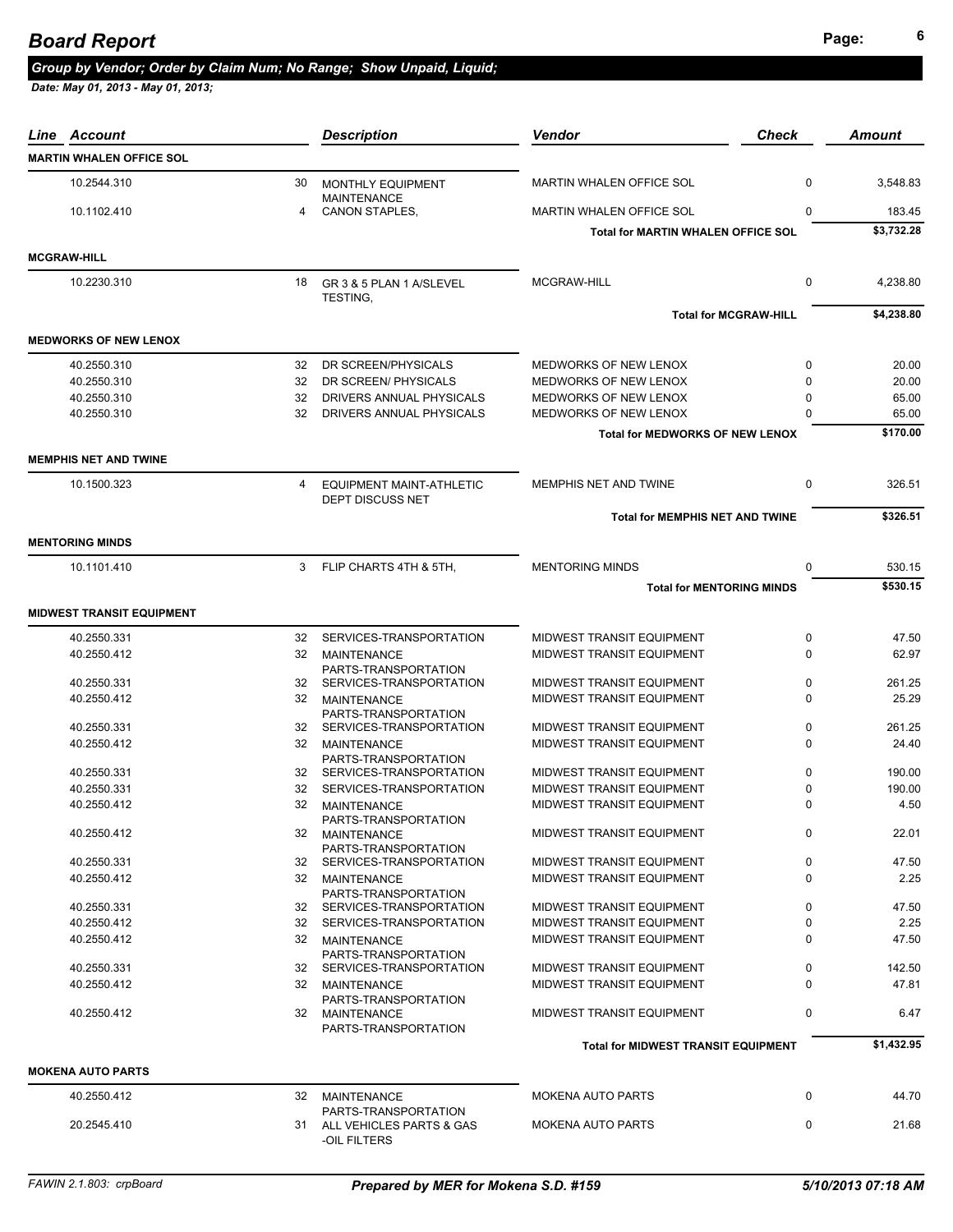### *Group by Vendor; Order by Claim Num; No Range; Show Unpaid, Liquid;*

| Line | Account                          |    | <b>Description</b>                                 | <b>Check</b><br><b>Vendor</b>              |             | <b>Amount</b> |
|------|----------------------------------|----|----------------------------------------------------|--------------------------------------------|-------------|---------------|
|      | <b>MARTIN WHALEN OFFICE SOL</b>  |    |                                                    |                                            |             |               |
|      | 10.2544.310                      | 30 | MONTHLY EQUIPMENT                                  | MARTIN WHALEN OFFICE SOL                   | 0           | 3,548.83      |
|      | 10.1102.410                      | 4  | <b>MAINTENANCE</b><br><b>CANON STAPLES,</b>        | <b>MARTIN WHALEN OFFICE SOL</b>            | 0           | 183.45        |
|      |                                  |    |                                                    | <b>Total for MARTIN WHALEN OFFICE SOL</b>  |             | \$3.732.28    |
|      | <b>MCGRAW-HILL</b>               |    |                                                    |                                            |             |               |
|      | 10.2230.310                      | 18 | GR 3 & 5 PLAN 1 A/SLEVEL                           | MCGRAW-HILL                                | $\mathbf 0$ | 4,238.80      |
|      |                                  |    | TESTING,                                           |                                            |             |               |
|      |                                  |    |                                                    | <b>Total for MCGRAW-HILL</b>               |             | \$4,238.80    |
|      | <b>MEDWORKS OF NEW LENOX</b>     |    |                                                    |                                            |             |               |
|      | 40.2550.310                      | 32 | DR SCREEN/PHYSICALS                                | MEDWORKS OF NEW LENOX                      | 0           | 20.00         |
|      | 40.2550.310                      | 32 | DR SCREEN/ PHYSICALS                               | MEDWORKS OF NEW LENOX                      | $\Omega$    | 20.00         |
|      | 40.2550.310                      | 32 | DRIVERS ANNUAL PHYSICALS                           | MEDWORKS OF NEW LENOX                      | 0           | 65.00         |
|      | 40.2550.310                      | 32 | DRIVERS ANNUAL PHYSICALS                           | MEDWORKS OF NEW LENOX                      | $\Omega$    | 65.00         |
|      |                                  |    |                                                    | <b>Total for MEDWORKS OF NEW LENOX</b>     |             | \$170.00      |
|      | <b>MEMPHIS NET AND TWINE</b>     |    |                                                    |                                            |             |               |
|      | 10.1500.323                      | 4  | EQUIPMENT MAINT-ATHLETIC                           | MEMPHIS NET AND TWINE                      | $\mathbf 0$ | 326.51        |
|      |                                  |    | DEPT DISCUSS NET                                   |                                            |             | \$326.51      |
|      |                                  |    |                                                    | <b>Total for MEMPHIS NET AND TWINE</b>     |             |               |
|      | <b>MENTORING MINDS</b>           |    |                                                    |                                            |             |               |
|      | 10.1101.410                      | 3  | FLIP CHARTS 4TH & 5TH,                             | <b>MENTORING MINDS</b>                     | 0           | 530.15        |
|      |                                  |    |                                                    | <b>Total for MENTORING MINDS</b>           |             | \$530.15      |
|      | <b>MIDWEST TRANSIT EQUIPMENT</b> |    |                                                    |                                            |             |               |
|      | 40.2550.331                      | 32 | SERVICES-TRANSPORTATION                            | MIDWEST TRANSIT EQUIPMENT                  | 0           | 47.50         |
|      | 40.2550.412                      | 32 | <b>MAINTENANCE</b>                                 | MIDWEST TRANSIT EQUIPMENT                  | $\Omega$    | 62.97         |
|      |                                  |    | PARTS-TRANSPORTATION                               |                                            |             |               |
|      | 40.2550.331                      | 32 | SERVICES-TRANSPORTATION                            | MIDWEST TRANSIT EQUIPMENT                  | 0           | 261.25        |
|      | 40.2550.412                      | 32 | <b>MAINTENANCE</b><br>PARTS-TRANSPORTATION         | MIDWEST TRANSIT EQUIPMENT                  | $\Omega$    | 25.29         |
|      | 40.2550.331                      |    | 32 SERVICES-TRANSPORTATION                         | MIDWEST TRANSIT EQUIPMENT                  | 0           | 261.25        |
|      | 40.2550.412                      | 32 | <b>MAINTENANCE</b><br>PARTS-TRANSPORTATION         | MIDWEST TRANSIT EQUIPMENT                  | 0           | 24.40         |
|      | 40.2550.331                      | 32 | SERVICES-TRANSPORTATION                            | MIDWEST TRANSIT EQUIPMENT                  | 0           | 190.00        |
|      | 40.2550.331                      | 32 | SERVICES-TRANSPORTATION                            | MIDWEST TRANSIT EQUIPMENT                  | 0           | 190.00        |
|      | 40.2550.412                      | 32 | <b>MAINTENANCE</b>                                 | MIDWEST TRANSIT EQUIPMENT                  | 0           | 4.50          |
|      |                                  |    | PARTS-TRANSPORTATION                               |                                            |             |               |
|      | 40.2550.412                      |    | 32 MAINTENANCE<br>PARTS-TRANSPORTATION             | MIDWEST TRANSIT EQUIPMENT                  | 0           | 22.01         |
|      | 40.2550.331                      | 32 | SERVICES-TRANSPORTATION                            | MIDWEST TRANSIT EQUIPMENT                  | 0           | 47.50         |
|      | 40.2550.412                      | 32 | <b>MAINTENANCE</b>                                 | MIDWEST TRANSIT EQUIPMENT                  | $\Omega$    | 2.25          |
|      | 40.2550.331                      |    | PARTS-TRANSPORTATION<br>32 SERVICES-TRANSPORTATION | MIDWEST TRANSIT EQUIPMENT                  | 0           | 47.50         |
|      | 40.2550.412                      |    | 32 SERVICES-TRANSPORTATION                         | <b>MIDWEST TRANSIT EQUIPMENT</b>           | 0           | 2.25          |
|      | 40.2550.412                      |    | 32 MAINTENANCE                                     | MIDWEST TRANSIT EQUIPMENT                  | $\Omega$    | 47.50         |
|      |                                  |    | PARTS-TRANSPORTATION                               |                                            |             |               |
|      | 40.2550.331                      |    | 32 SERVICES-TRANSPORTATION                         | MIDWEST TRANSIT EQUIPMENT                  | 0           | 142.50        |
|      | 40.2550.412                      |    | 32 MAINTENANCE                                     | MIDWEST TRANSIT EQUIPMENT                  | $\Omega$    | 47.81         |
|      | 40.2550.412                      |    | PARTS-TRANSPORTATION<br>32 MAINTENANCE             | MIDWEST TRANSIT EQUIPMENT                  | $\mathbf 0$ | 6.47          |
|      |                                  |    | PARTS-TRANSPORTATION                               |                                            |             | \$1,432.95    |
|      | <b>MOKENA AUTO PARTS</b>         |    |                                                    | <b>Total for MIDWEST TRANSIT EQUIPMENT</b> |             |               |
|      | 40.2550.412                      |    | 32 MAINTENANCE                                     | <b>MOKENA AUTO PARTS</b>                   | $\mathbf 0$ | 44.70         |
|      |                                  |    | PARTS-TRANSPORTATION                               |                                            |             |               |
|      | 20.2545.410                      |    | 31 ALL VEHICLES PARTS & GAS<br>-OIL FILTERS        | <b>MOKENA AUTO PARTS</b>                   | 0           | 21.68         |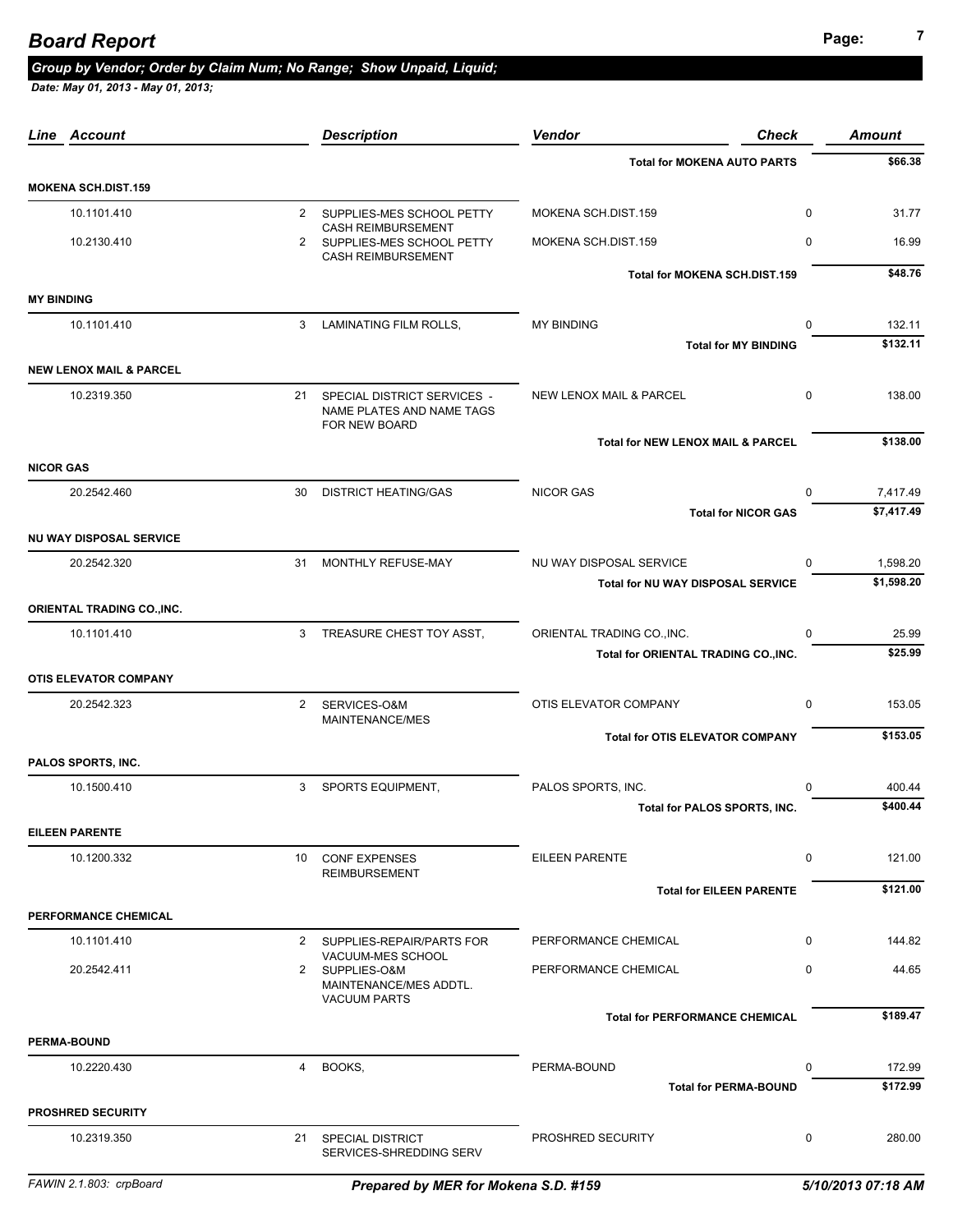## **Page: <sup>7</sup>** *Board Report*

#### *Group by Vendor; Order by Claim Num; No Range; Show Unpaid, Liquid;*

|                   | <b>Line Account</b>                |             | <b>Description</b>                                                                    | <b>Vendor</b><br><b>Check</b>                  | <b>Amount</b>                         |
|-------------------|------------------------------------|-------------|---------------------------------------------------------------------------------------|------------------------------------------------|---------------------------------------|
|                   |                                    |             |                                                                                       | <b>Total for MOKENA AUTO PARTS</b>             | \$66.38                               |
|                   | <b>MOKENA SCH.DIST.159</b>         |             |                                                                                       |                                                |                                       |
|                   | 10.1101.410                        |             | 2 SUPPLIES-MES SCHOOL PETTY                                                           | MOKENA SCH.DIST.159                            | $\mathbf{0}$<br>31.77                 |
|                   | 10.2130.410                        |             | <b>CASH REIMBURSEMENT</b><br>2 SUPPLIES-MES SCHOOL PETTY<br><b>CASH REIMBURSEMENT</b> | MOKENA SCH.DIST.159                            | $\mathbf 0$<br>16.99                  |
|                   |                                    |             |                                                                                       | Total for MOKENA SCH.DIST.159                  | \$48.76                               |
| <b>MY BINDING</b> |                                    |             |                                                                                       |                                                |                                       |
|                   | 10.1101.410                        |             | 3 LAMINATING FILM ROLLS,                                                              | <b>MY BINDING</b>                              | $\mathbf 0$<br>132.11                 |
|                   |                                    |             |                                                                                       | <b>Total for MY BINDING</b>                    | \$132.11                              |
|                   | <b>NEW LENOX MAIL &amp; PARCEL</b> |             |                                                                                       |                                                |                                       |
|                   | 10.2319.350                        |             | 21 SPECIAL DISTRICT SERVICES -<br>NAME PLATES AND NAME TAGS<br>FOR NEW BOARD          | <b>NEW LENOX MAIL &amp; PARCEL</b>             | $\mathbf{0}$<br>138.00                |
|                   |                                    |             |                                                                                       | <b>Total for NEW LENOX MAIL &amp; PARCEL</b>   | \$138.00                              |
| <b>NICOR GAS</b>  |                                    |             |                                                                                       |                                                |                                       |
|                   | 20.2542.460                        |             | 30 DISTRICT HEATING/GAS                                                               | <b>NICOR GAS</b><br><b>Total for NICOR GAS</b> | $\mathbf 0$<br>7,417.49<br>\$7,417.49 |
|                   | <b>NU WAY DISPOSAL SERVICE</b>     |             |                                                                                       |                                                |                                       |
|                   | 20.2542.320                        |             | 31 MONTHLY REFUSE-MAY                                                                 | NU WAY DISPOSAL SERVICE                        | 1,598.20<br>$\Omega$                  |
|                   |                                    |             |                                                                                       | <b>Total for NU WAY DISPOSAL SERVICE</b>       | \$1,598.20                            |
|                   | ORIENTAL TRADING CO., INC.         |             |                                                                                       |                                                |                                       |
|                   | 10.1101.410                        | 3           | TREASURE CHEST TOY ASST,                                                              | ORIENTAL TRADING CO., INC.                     | $\Omega$<br>25.99                     |
|                   |                                    |             |                                                                                       | Total for ORIENTAL TRADING CO., INC.           | \$25.99                               |
|                   | <b>OTIS ELEVATOR COMPANY</b>       |             |                                                                                       |                                                |                                       |
|                   | 20.2542.323                        | $2^{\circ}$ | SERVICES-O&M<br>MAINTENANCE/MES                                                       | OTIS ELEVATOR COMPANY                          | $\mathbf 0$<br>153.05                 |
|                   |                                    |             |                                                                                       | <b>Total for OTIS ELEVATOR COMPANY</b>         | \$153.05                              |
|                   | PALOS SPORTS, INC.                 |             |                                                                                       |                                                |                                       |
|                   | 10.1500.410                        | 3           | SPORTS EQUIPMENT,                                                                     | PALOS SPORTS, INC.                             | $\Omega$<br>400.44                    |
|                   |                                    |             |                                                                                       | Total for PALOS SPORTS, INC.                   | \$400.44                              |
|                   | <b>EILEEN PARENTE</b>              |             |                                                                                       |                                                |                                       |
|                   | 10.1200.332                        |             | 10 CONF EXPENSES<br><b>REIMBURSEMENT</b>                                              | EILEEN PARENTE                                 | 0<br>121.00                           |
|                   |                                    |             |                                                                                       | <b>Total for EILEEN PARENTE</b>                | \$121.00                              |
|                   | PERFORMANCE CHEMICAL               |             |                                                                                       |                                                |                                       |
|                   | 10.1101.410                        |             | 2 SUPPLIES-REPAIR/PARTS FOR                                                           | PERFORMANCE CHEMICAL                           | $\mathbf 0$<br>144.82                 |
|                   | 20.2542.411                        |             | VACUUM-MES SCHOOL<br>2 SUPPLIES-O&M<br>MAINTENANCE/MES ADDTL.                         | PERFORMANCE CHEMICAL                           | 0<br>44.65                            |
|                   |                                    |             | <b>VACUUM PARTS</b>                                                                   | <b>Total for PERFORMANCE CHEMICAL</b>          | \$189.47                              |
|                   | <b>PERMA-BOUND</b>                 |             |                                                                                       |                                                |                                       |
|                   | 10.2220.430                        | 4           | BOOKS,                                                                                | PERMA-BOUND                                    | $\mathbf{0}$<br>172.99                |
|                   |                                    |             |                                                                                       | <b>Total for PERMA-BOUND</b>                   | \$172.99                              |
|                   | <b>PROSHRED SECURITY</b>           |             |                                                                                       |                                                |                                       |
|                   | 10.2319.350                        |             | 21 SPECIAL DISTRICT<br>SERVICES-SHREDDING SERV                                        | PROSHRED SECURITY                              | $\mathbf 0$<br>280.00                 |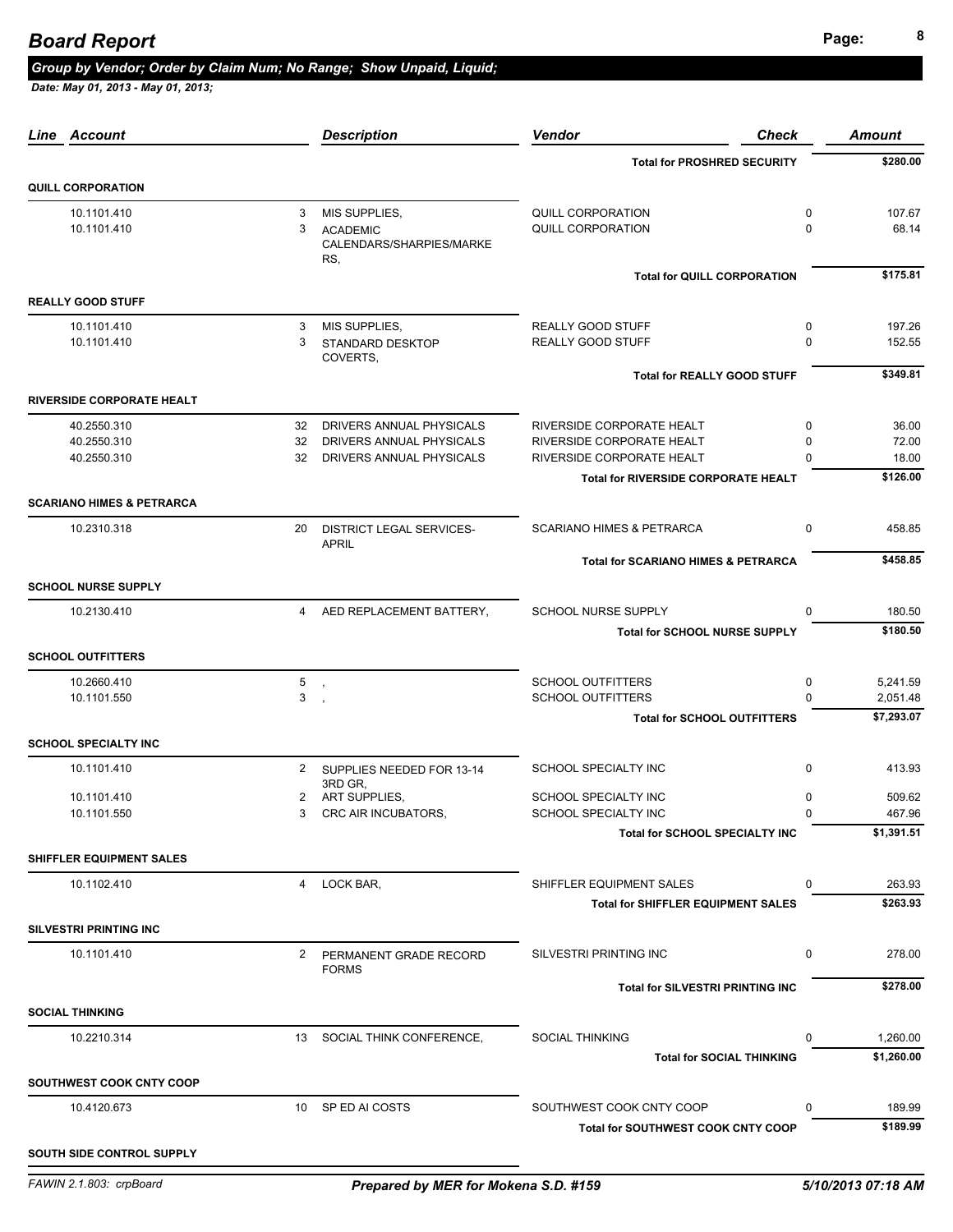### **Page: <sup>8</sup>** *Board Report*

#### *Group by Vendor; Order by Claim Num; No Range; Show Unpaid, Liquid;*

| Line Account                         |                | <b>Description</b>                                 | Vendor<br><b>Check</b>                         | <b>Amount</b>         |
|--------------------------------------|----------------|----------------------------------------------------|------------------------------------------------|-----------------------|
|                                      |                |                                                    | <b>Total for PROSHRED SECURITY</b>             | \$280.00              |
| <b>QUILL CORPORATION</b>             |                |                                                    |                                                |                       |
| 10.1101.410                          | 3              | MIS SUPPLIES,                                      | QUILL CORPORATION                              | 0<br>107.67           |
| 10.1101.410                          | 3              | <b>ACADEMIC</b><br>CALENDARS/SHARPIES/MARKE<br>RS, | <b>QUILL CORPORATION</b>                       | $\Omega$<br>68.14     |
|                                      |                |                                                    | <b>Total for QUILL CORPORATION</b>             | \$175.81              |
| <b>REALLY GOOD STUFF</b>             |                |                                                    |                                                |                       |
| 10.1101.410                          | 3              | MIS SUPPLIES,                                      | REALLY GOOD STUFF                              | 0<br>197.26           |
| 10.1101.410                          | 3              | <b>STANDARD DESKTOP</b><br>COVERTS,                | REALLY GOOD STUFF                              | $\Omega$<br>152.55    |
|                                      |                |                                                    | <b>Total for REALLY GOOD STUFF</b>             | \$349.81              |
| <b>RIVERSIDE CORPORATE HEALT</b>     |                |                                                    |                                                |                       |
| 40.2550.310                          | 32             | DRIVERS ANNUAL PHYSICALS                           | RIVERSIDE CORPORATE HEALT                      | 0<br>36.00            |
| 40.2550.310                          | 32             | DRIVERS ANNUAL PHYSICALS                           | RIVERSIDE CORPORATE HEALT                      | 0<br>72.00            |
| 40.2550.310                          | 32             | DRIVERS ANNUAL PHYSICALS                           | RIVERSIDE CORPORATE HEALT                      | $\Omega$<br>18.00     |
|                                      |                |                                                    | <b>Total for RIVERSIDE CORPORATE HEALT</b>     | \$126.00              |
| <b>SCARIANO HIMES &amp; PETRARCA</b> |                |                                                    |                                                |                       |
| 10.2310.318                          | 20             | <b>DISTRICT LEGAL SERVICES-</b><br><b>APRIL</b>    | <b>SCARIANO HIMES &amp; PETRARCA</b>           | $\mathbf 0$<br>458.85 |
|                                      |                |                                                    | <b>Total for SCARIANO HIMES &amp; PETRARCA</b> | \$458.85              |
| <b>SCHOOL NURSE SUPPLY</b>           |                |                                                    |                                                |                       |
| 10.2130.410                          | $\overline{4}$ | AED REPLACEMENT BATTERY,                           | SCHOOL NURSE SUPPLY                            | 180.50<br>$\Omega$    |
|                                      |                |                                                    | <b>Total for SCHOOL NURSE SUPPLY</b>           | \$180.50              |
| <b>SCHOOL OUTFITTERS</b>             |                |                                                    |                                                |                       |
| 10.2660.410                          | $\sqrt{5}$     | $\overline{\phantom{a}}$                           | <b>SCHOOL OUTFITTERS</b>                       | 5,241.59<br>0         |
| 10.1101.550                          | 3              |                                                    | <b>SCHOOL OUTFITTERS</b>                       | $\Omega$<br>2,051.48  |
|                                      |                |                                                    | <b>Total for SCHOOL OUTFITTERS</b>             | \$7,293.07            |
| <b>SCHOOL SPECIALTY INC</b>          |                |                                                    |                                                |                       |
| 10.1101.410                          | $2^{\circ}$    | SUPPLIES NEEDED FOR 13-14<br>3RD GR.               | SCHOOL SPECIALTY INC                           | $\mathbf 0$<br>413.93 |
| 10.1101.410                          | 2              | ART SUPPLIES,                                      | <b>SCHOOL SPECIALTY INC</b>                    | 509.62<br>0           |
| 10.1101.550                          | 3              | CRC AIR INCUBATORS,                                | SCHOOL SPECIALTY INC                           | 0<br>467.96           |
|                                      |                |                                                    | Total for SCHOOL SPECIALTY INC                 | \$1,391.51            |
| <b>SHIFFLER EQUIPMENT SALES</b>      |                |                                                    |                                                |                       |
| 10.1102.410                          | 4              | LOCK BAR,                                          | SHIFFLER EQUIPMENT SALES                       | 263.93<br>0           |
|                                      |                |                                                    | <b>Total for SHIFFLER EQUIPMENT SALES</b>      | \$263.93              |
| <b>SILVESTRI PRINTING INC</b>        |                |                                                    |                                                |                       |
| 10.1101.410                          | $2^{\circ}$    | PERMANENT GRADE RECORD<br><b>FORMS</b>             | <b>SILVESTRI PRINTING INC</b>                  | 278.00<br>0           |
|                                      |                |                                                    | <b>Total for SILVESTRI PRINTING INC</b>        | \$278.00              |
| <b>SOCIAL THINKING</b>               |                |                                                    |                                                |                       |
| 10.2210.314                          | 13             | SOCIAL THINK CONFERENCE,                           | <b>SOCIAL THINKING</b>                         | 1,260.00<br>0         |
|                                      |                |                                                    | <b>Total for SOCIAL THINKING</b>               | \$1,260.00            |
| SOUTHWEST COOK CNTY COOP             |                |                                                    |                                                |                       |
| 10.4120.673                          |                | 10 SP ED AI COSTS                                  | SOUTHWEST COOK CNTY COOP                       | 189.99<br>0           |
|                                      |                |                                                    | <b>Total for SOUTHWEST COOK CNTY COOP</b>      | \$189.99              |
| SOUTH SIDE CONTROL SUPPLY            |                |                                                    |                                                |                       |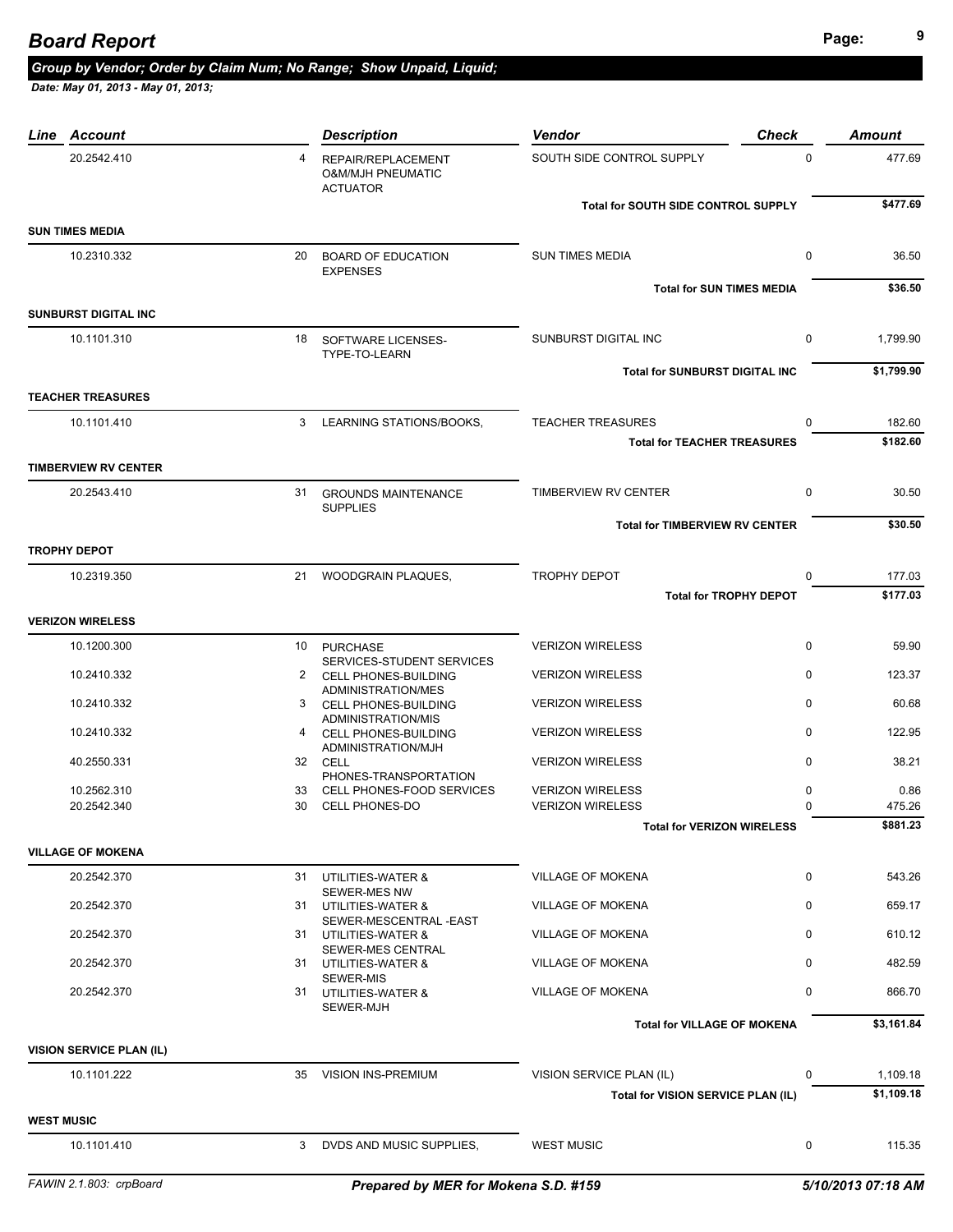|                   | Line Account                    |    | <b>Description</b>                                                    | Vendor                                | <b>Check</b> | <b>Amount</b> |
|-------------------|---------------------------------|----|-----------------------------------------------------------------------|---------------------------------------|--------------|---------------|
|                   | 20.2542.410                     | 4  | REPAIR/REPLACEMENT<br><b>O&amp;M/MJH PNEUMATIC</b><br><b>ACTUATOR</b> | SOUTH SIDE CONTROL SUPPLY             | $\Omega$     | 477.69        |
|                   |                                 |    |                                                                       | Total for SOUTH SIDE CONTROL SUPPLY   |              | \$477.69      |
|                   | <b>SUN TIMES MEDIA</b>          |    |                                                                       |                                       |              |               |
|                   | 10.2310.332                     |    | 20 BOARD OF EDUCATION<br><b>EXPENSES</b>                              | <b>SUN TIMES MEDIA</b>                | $\mathbf 0$  | 36.50         |
|                   |                                 |    |                                                                       | <b>Total for SUN TIMES MEDIA</b>      |              | \$36.50       |
|                   | <b>SUNBURST DIGITAL INC</b>     |    |                                                                       |                                       |              |               |
|                   | 10.1101.310                     |    | 18 SOFTWARE LICENSES-<br>TYPE-TO-LEARN                                | SUNBURST DIGITAL INC                  | 0            | 1,799.90      |
|                   |                                 |    |                                                                       | <b>Total for SUNBURST DIGITAL INC</b> |              | \$1,799.90    |
|                   | <b>TEACHER TREASURES</b>        |    |                                                                       |                                       |              |               |
|                   | 10.1101.410                     |    | 3 LEARNING STATIONS/BOOKS,                                            | <b>TEACHER TREASURES</b>              | $\Omega$     | 182.60        |
|                   |                                 |    |                                                                       | <b>Total for TEACHER TREASURES</b>    |              | \$182.60      |
|                   | <b>TIMBERVIEW RV CENTER</b>     |    |                                                                       |                                       |              |               |
|                   | 20.2543.410                     |    | 31 GROUNDS MAINTENANCE<br><b>SUPPLIES</b>                             | TIMBERVIEW RV CENTER                  | $\mathbf 0$  | 30.50         |
|                   |                                 |    |                                                                       | <b>Total for TIMBERVIEW RV CENTER</b> |              | \$30.50       |
|                   | <b>TROPHY DEPOT</b>             |    |                                                                       |                                       |              |               |
|                   | 10.2319.350                     | 21 | <b>WOODGRAIN PLAQUES.</b>                                             | <b>TROPHY DEPOT</b>                   | 0            | 177.03        |
|                   |                                 |    |                                                                       | <b>Total for TROPHY DEPOT</b>         |              | \$177.03      |
|                   | <b>VERIZON WIRELESS</b>         |    |                                                                       |                                       |              |               |
|                   | 10.1200.300                     |    | 10 PURCHASE                                                           | <b>VERIZON WIRELESS</b>               | $\mathbf 0$  | 59.90         |
|                   |                                 |    | SERVICES-STUDENT SERVICES                                             |                                       | $\mathbf 0$  |               |
|                   | 10.2410.332                     |    | 2 CELL PHONES-BUILDING<br>ADMINISTRATION/MES                          | <b>VERIZON WIRELESS</b>               |              | 123.37        |
|                   | 10.2410.332                     |    | 3 CELL PHONES-BUILDING<br>ADMINISTRATION/MIS                          | <b>VERIZON WIRELESS</b>               | $\mathbf 0$  | 60.68         |
|                   | 10.2410.332                     |    | 4 CELL PHONES-BUILDING<br>ADMINISTRATION/MJH                          | <b>VERIZON WIRELESS</b>               | $\Omega$     | 122.95        |
|                   | 40.2550.331                     |    | 32 CELL<br>PHONES-TRANSPORTATION                                      | <b>VERIZON WIRELESS</b>               | $\mathbf 0$  | 38.21         |
|                   | 10.2562.310                     |    | 33 CELL PHONES-FOOD SERVICES                                          | <b>VERIZON WIRELESS</b>               | 0            | 0.86          |
|                   | 20.2542.340                     | 30 | <b>CELL PHONES-DO</b>                                                 | <b>VERIZON WIRELESS</b>               | $\Omega$     | 475.26        |
|                   |                                 |    |                                                                       | <b>Total for VERIZON WIRELESS</b>     |              | \$881.23      |
|                   | <b>VILLAGE OF MOKENA</b>        |    |                                                                       |                                       |              |               |
|                   | 20.2542.370                     |    | 31 UTILITIES-WATER &                                                  | <b>VILLAGE OF MOKENA</b>              | $\mathbf 0$  | 543.26        |
|                   | 20.2542.370                     |    | <b>SEWER-MES NW</b><br>31 UTILITIES-WATER &<br>SEWER-MESCENTRAL-EAST  | VILLAGE OF MOKENA                     | $\mathbf 0$  | 659.17        |
|                   | 20.2542.370                     |    | 31 UTILITIES-WATER &<br>SEWER-MES CENTRAL                             | <b>VILLAGE OF MOKENA</b>              | $\mathbf 0$  | 610.12        |
|                   | 20.2542.370                     |    | 31 UTILITIES-WATER &<br>SEWER-MIS                                     | VILLAGE OF MOKENA                     | $\Omega$     | 482.59        |
|                   | 20.2542.370                     |    | 31 UTILITIES-WATER &<br>SEWER-MJH                                     | <b>VILLAGE OF MOKENA</b>              | $\mathbf 0$  | 866.70        |
|                   |                                 |    |                                                                       | <b>Total for VILLAGE OF MOKENA</b>    |              | \$3,161.84    |
|                   | <b>VISION SERVICE PLAN (IL)</b> |    |                                                                       |                                       |              |               |
|                   | 10.1101.222                     |    | 35 VISION INS-PREMIUM                                                 | VISION SERVICE PLAN (IL)              | 0            | 1,109.18      |
|                   |                                 |    |                                                                       | Total for VISION SERVICE PLAN (IL)    |              | \$1,109.18    |
| <b>WEST MUSIC</b> |                                 |    |                                                                       |                                       |              |               |
|                   | 10.1101.410                     | 3  | DVDS AND MUSIC SUPPLIES,                                              | <b>WEST MUSIC</b>                     | 0            | 115.35        |
|                   |                                 |    |                                                                       |                                       |              |               |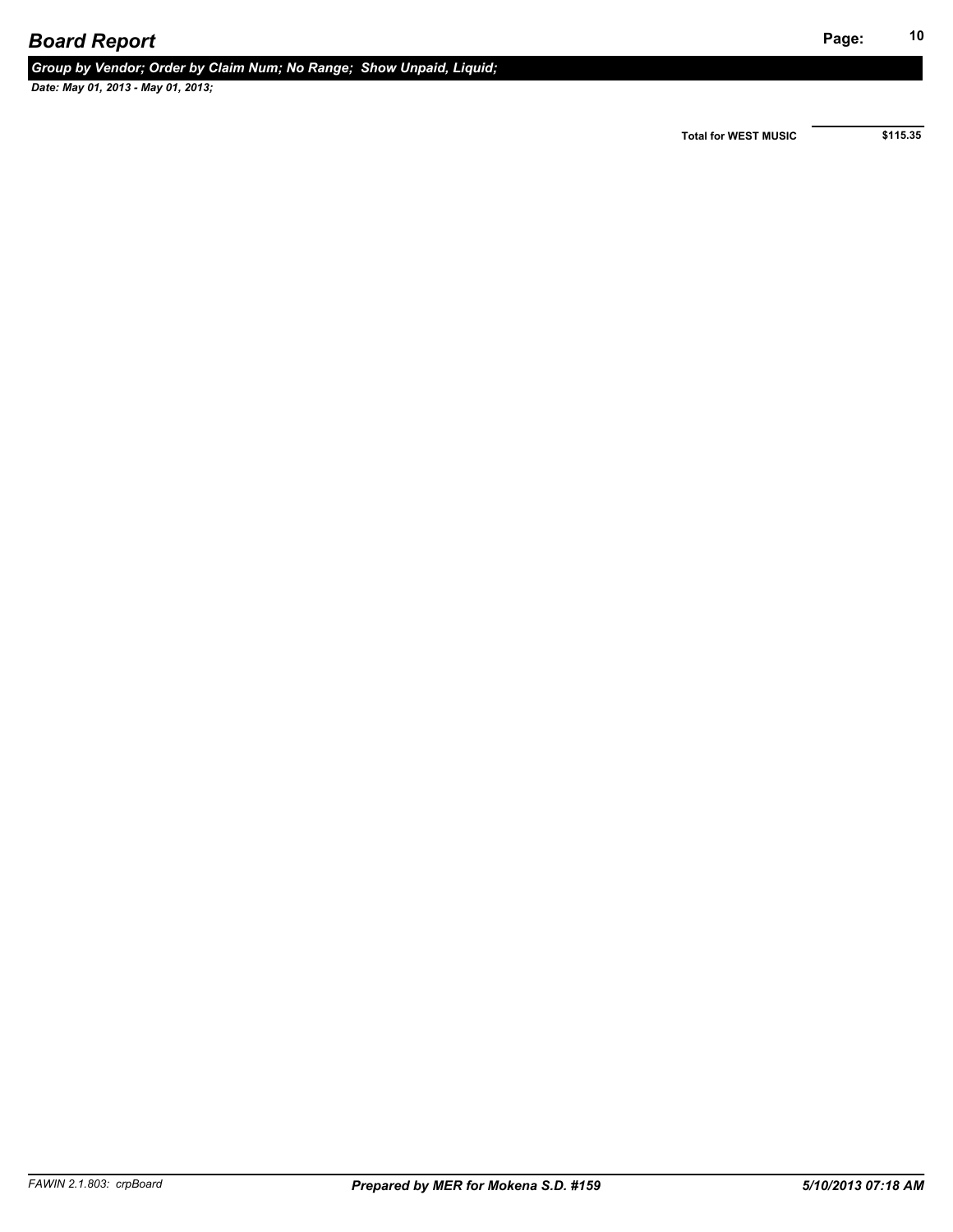*Group by Vendor; Order by Claim Num; No Range; Show Unpaid, Liquid;* 

 *Date: May 01, 2013 - May 01, 2013;* 

**Total for WEST MUSIC \$115.35**